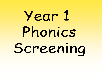## Year 1 Phonics Screening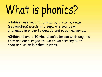## What is phonics?

•Children are taught to read by breaking down (segmenting) words into separate sounds or phonemes in order to decode and read the words.

•Children have a 20mins phonics lesson each day and they are encouraged to use these strategies to read and write in other lessons.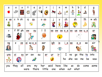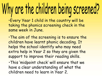## Why are the children being screened?

•Every Year 1 child in the country will be taking the phonics screening check in the same week in June.

•The aim of the screening is to ensure the children have learnt phonic decoding. It helps the school identify who may need extra help in Year 2 so they are given the support to improve their reading skills.

•This 'midpoint check' will ensure that we have a clear understanding of what the children need to learn in Year 2.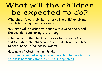#### What will the children be expected to do?

•The check is very similar to tasks the children already complete during phonics lessons.

•Children will be asked to 'sound out' a word and blend the sounds together.eg d-o-g - dog

•The focus of the check is to see which sounds the children know and therefore the children will be asked to read made up 'nonsense' words.

•Example of what the test is like [http://www.education.gov.uk/schools/teachingandlearnin](http://www.education.gov.uk/schools/teachingandlearning/assessment/keystage1/a00200415/phonics) [g/assessment/keystage1/a00200415/phonics](http://www.education.gov.uk/schools/teachingandlearning/assessment/keystage1/a00200415/phonics)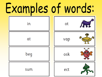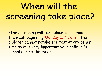## When will the screening take place?

•The screening will take place throughout the week beginning Monday 11<sup>th</sup> June. The children cannot retake the test at any other time so it is very important your child is in school during this week.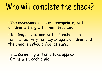### Who will complete the check?

•The assessment is age-appropriate, with children sitting with their teacher.

•Reading one-to-one with a teacher is a familiar activity for Key Stage 1 children and the children should feel at ease.

•The screening will only take approx. 10mins with each child.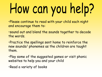# How can you help?

•Please continue to read with your child each night and encourage them to:

•sound out and blend the sounds together to decode the words.

•Practice the spellings sent home to reinforce the new sounds/ phonemes as the children are taught them.

•Play some of the suggested games or visit phonic websites to help you and your child

•Read a variety of books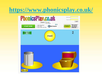#### **<https://www.phonicsplay.co.uk/>**